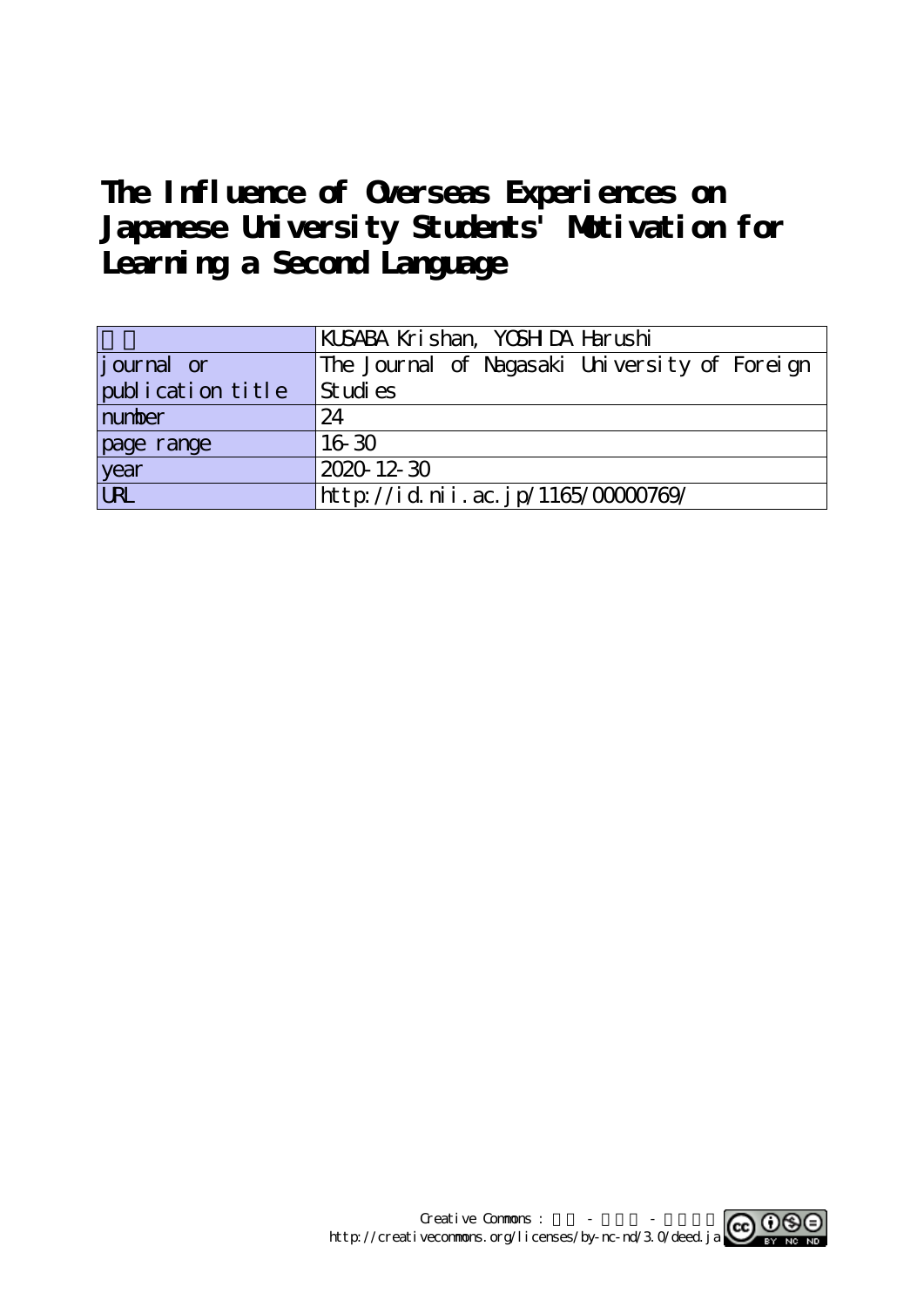# **The Influence of Overseas Experiences on Japanese University Students' Motivation for Learning a Second Language**

|                    | KUSABA Krishan, YOSH DA Harushi               |
|--------------------|-----------------------------------------------|
| <i>j</i> ournal or | The Journal of Nagasaki University of Foreign |
| publication title  | St udi es                                     |
| number             | 24                                            |
| page range         | 16 30                                         |
| year<br>URL        | 2020-12-30                                    |
|                    | http://id.nii.ac.jp/1165/00000769/            |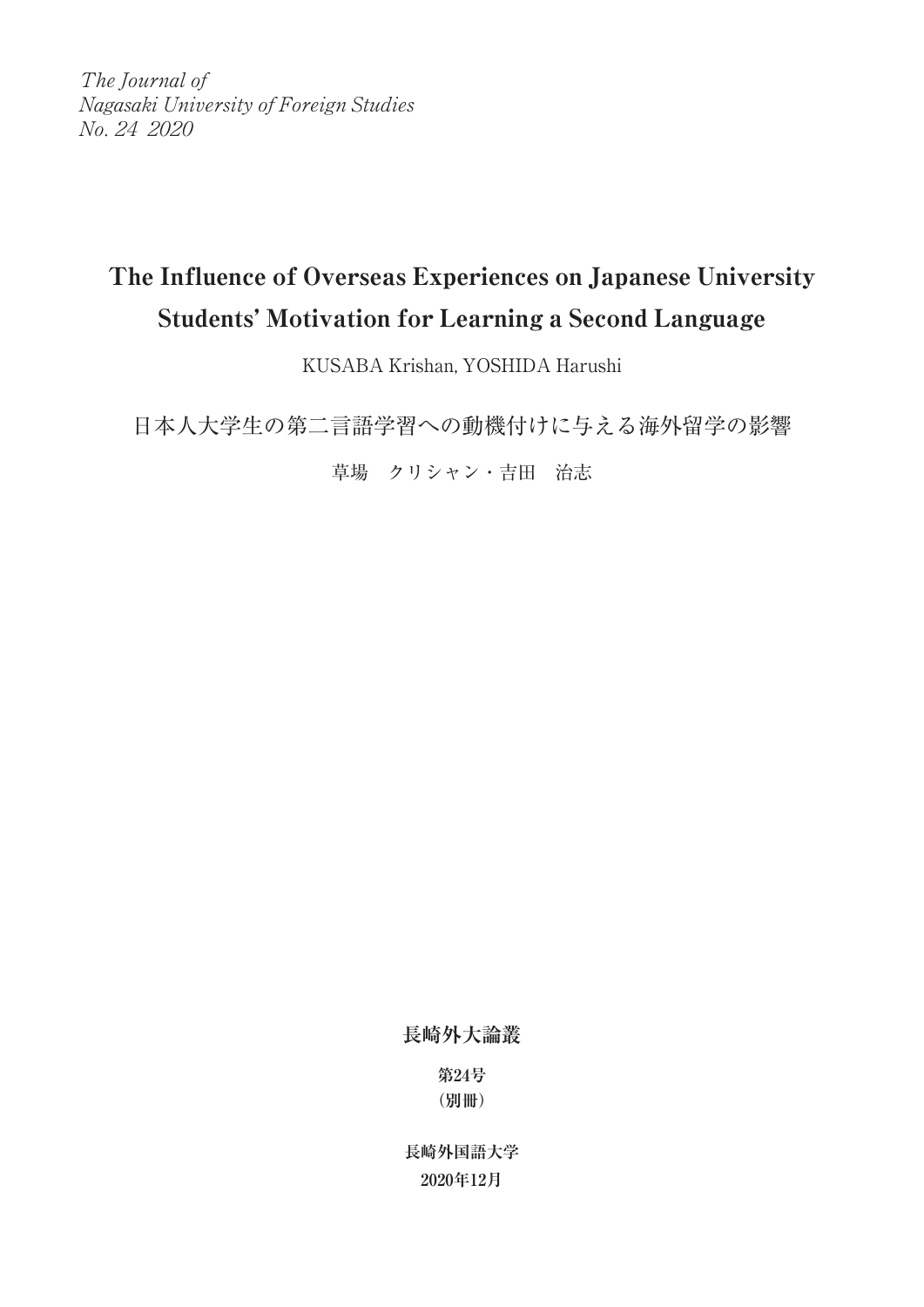The Journal of Nagasaki University of Foreign Studies No. 24 2020

# The Influence of Overseas Experiences on Japanese University Students' Motivation for Learning a Second Language

KUSABA Krishan, YOSHIDA Harushi

日本人大学生の第二言語学習への動機付けに与える海外留学の影響

草場 クリシャン・吉田 治志

**長崎外大論叢**

**第24号 (別冊)**

**長崎外国語大学 2020年12月**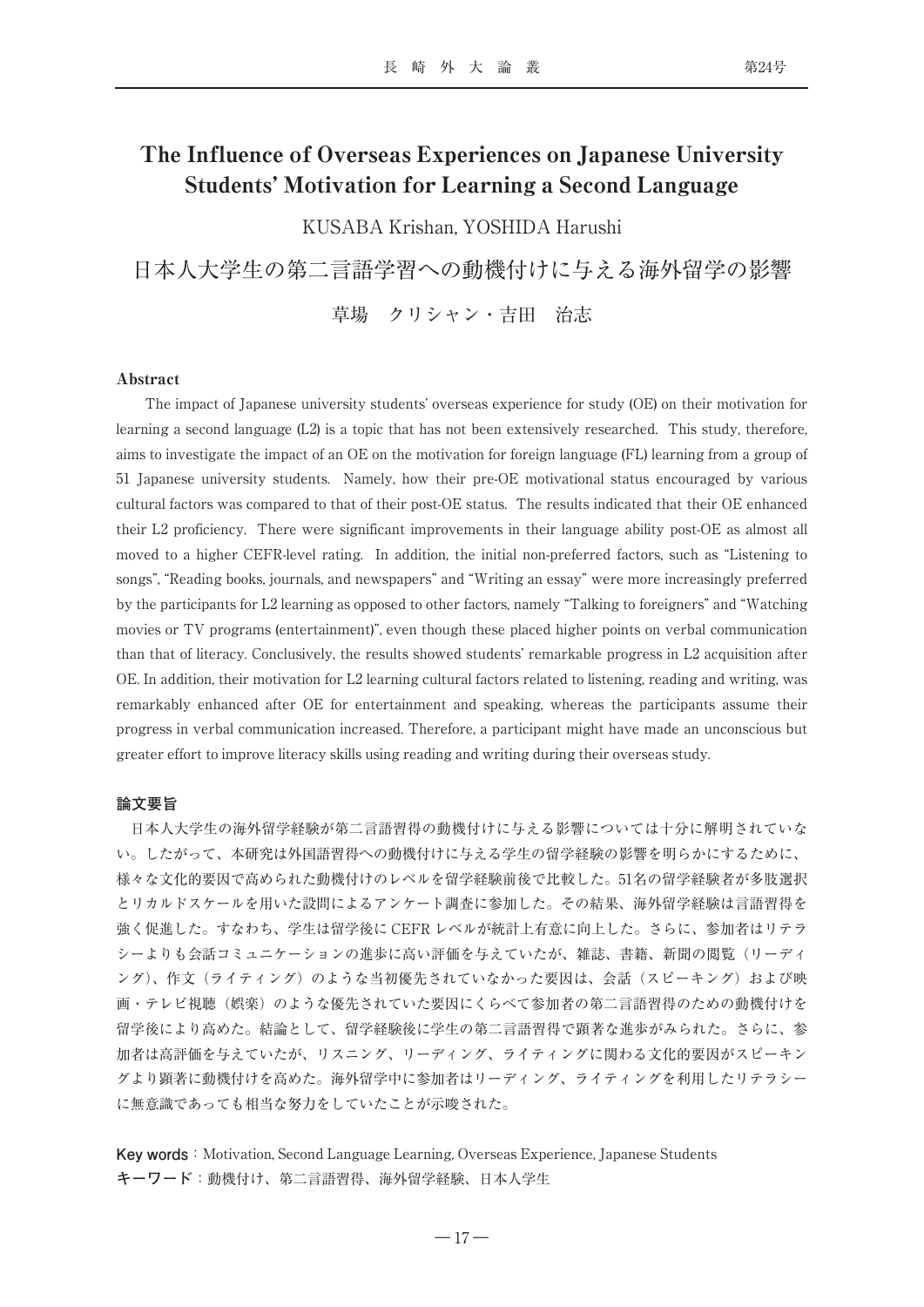# The Influence of Overseas Experiences on Japanese University Students' Motivation for Learning a Second Language

KUSABA Krishan, YOSHIDA Harushi

日本人大学生の第二言語学習への動機付けに与える海外留学の影響

草場 クリシャン・吉田 治志

#### Abstract

The impact of Japanese university students' overseas experience for study (OE) on their motivation for learning a second language (L2) is a topic that has not been extensively researched. This study, therefore, aims to investigate the impact of an OE on the motivation for foreign language (FL) learning from a group of 51 Japanese university students. Namely, how their pre-OE motivational status encouraged by various cultural factors was compared to that of their post-OE status. The results indicated that their OE enhanced their L2 proficiency. There were significant improvements in their language ability post-OE as almost all moved to a higher CEFR-level rating. In addition, the initial non-preferred factors, such as "Listening to songs", "Reading books, journals, and newspapers" and "Writing an essay" were more increasingly preferred by the participants for L2 learning as opposed to other factors, namely "Talking to foreigners" and "Watching movies or TV programs (entertainment)", even though these placed higher points on verbal communication than that of literacy. Conclusively, the results showed students' remarkable progress in L2 acquisition after OE. In addition, their motivation for L2 learning cultural factors related to listening, reading and writing, was remarkably enhanced after OE for entertainment and speaking, whereas the participants assume their progress in verbal communication increased. Therefore, a participant might have made an unconscious but greater effort to improve literacy skills using reading and writing during their overseas study.

#### **論文要旨**

日本人大学生の海外留学経験が第二言語習得の動機付けに与える影響については十分に解明されていな い。したがって、本研究は外国語習得への動機付けに与える学生の留学経験の影響を明らかにするために、 様々な文化的要因で高められた動機付けのレベルを留学経験前後で比較した。51名の留学経験者が多肢選択 とリカルドスケールを用いた設問によるアンケート調査に参加した。その結果、海外留学経験は言語習得を 強く促進した。すなわち、学生は留学後に CEFR レベルが統計上有意に向上した。さらに、参加者はリテラ シーよりも会話コミュニケーションの進歩に高い評価を与えていたが、雑誌、書籍、新聞の閲覧(リーディ ング)、作文(ライティング)のような当初優先されていなかった要因は、会話(スピーキング)および映 画・テレビ視聴(娯楽)のような優先されていた要因にくらべて参加者の第二言語習得のための動機付けを 留学後により高めた。結論として、留学経験後に学生の第二言語習得で顕著な進歩がみられた。さらに、参 加者は高評価を与えていたが、リスニング、リーディング、ライティングに関わる文化的要因がスピーキン グより顕著に動機付けを高めた。海外留学中に参加者はリーディング、ライティングを利用したリテラシー に無意識であっても相当な努力をしていたことが示唆された。

**Key words**: Motivation, Second Language Learning, Overseas Experience, Japanese Students **キーワード**:動機付け、第二言語習得、海外留学経験、日本人学生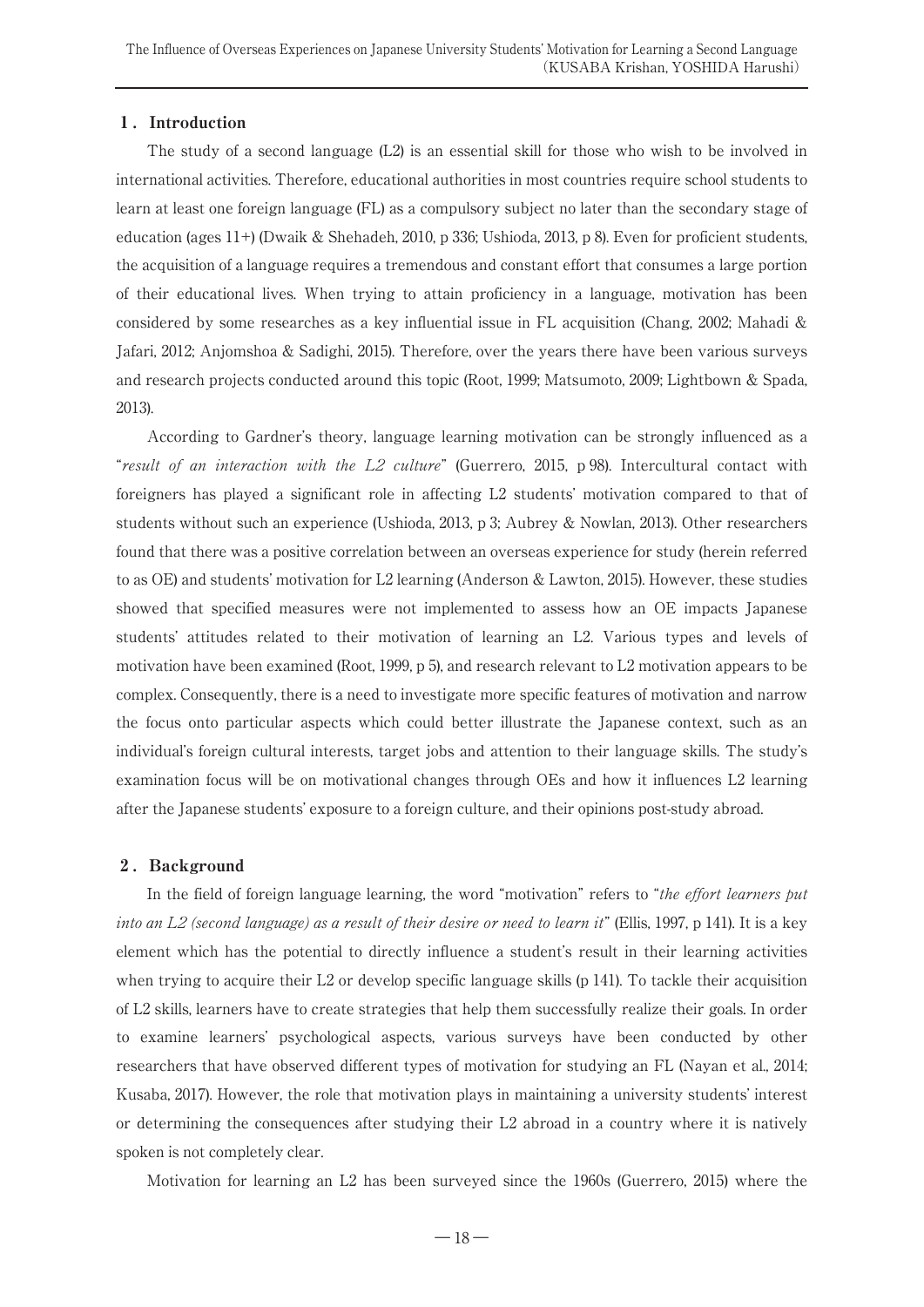# 1.Introduction

The study of a second language (L2) is an essential skill for those who wish to be involved in international activities. Therefore, educational authorities in most countries require school students to learn at least one foreign language (FL) as a compulsory subject no later than the secondary stage of education (ages 11+) (Dwaik & Shehadeh, 2010, p 336; Ushioda, 2013, p 8). Even for proficient students, the acquisition of a language requires a tremendous and constant effort that consumes a large portion of their educational lives. When trying to attain proficiency in a language, motivation has been considered by some researches as a key influential issue in FL acquisition (Chang, 2002; Mahadi & Jafari, 2012; Anjomshoa & Sadighi, 2015). Therefore, over the years there have been various surveys and research projects conducted around this topic (Root, 1999; Matsumoto, 2009; Lightbown & Spada, 2013).

According to Gardner's theory, language learning motivation can be strongly influenced as a "result of an interaction with the  $L2$  culture" (Guerrero, 2015, p 98). Intercultural contact with foreigners has played a significant role in affecting L2 students' motivation compared to that of students without such an experience (Ushioda, 2013, p 3; Aubrey & Nowlan, 2013). Other researchers found that there was a positive correlation between an overseas experience for study (herein referred to as OE) and students' motivation for L2 learning (Anderson & Lawton, 2015). However, these studies showed that specified measures were not implemented to assess how an OE impacts Japanese students' attitudes related to their motivation of learning an L2. Various types and levels of motivation have been examined (Root, 1999, p 5), and research relevant to L2 motivation appears to be complex. Consequently, there is a need to investigate more specific features of motivation and narrow the focus onto particular aspects which could better illustrate the Japanese context, such as an individual's foreign cultural interests, target jobs and attention to their language skills. The study's examination focus will be on motivational changes through OEs and how it influences L2 learning after the Japanese students' exposure to a foreign culture, and their opinions post-study abroad.

# 2.Background

In the field of foreign language learning, the word "motivation" refers to "the effort learners put into an L2 (second language) as a result of their desire or need to learn it" (Ellis, 1997, p 141). It is a key element which has the potential to directly influence a student's result in their learning activities when trying to acquire their L2 or develop specific language skills (p 141). To tackle their acquisition of L2 skills, learners have to create strategies that help them successfully realize their goals. In order to examine learners' psychological aspects, various surveys have been conducted by other researchers that have observed different types of motivation for studying an FL (Nayan et al., 2014; Kusaba, 2017). However, the role that motivation plays in maintaining a university students' interest or determining the consequences after studying their L2 abroad in a country where it is natively spoken is not completely clear.

Motivation for learning an L2 has been surveyed since the 1960s (Guerrero, 2015) where the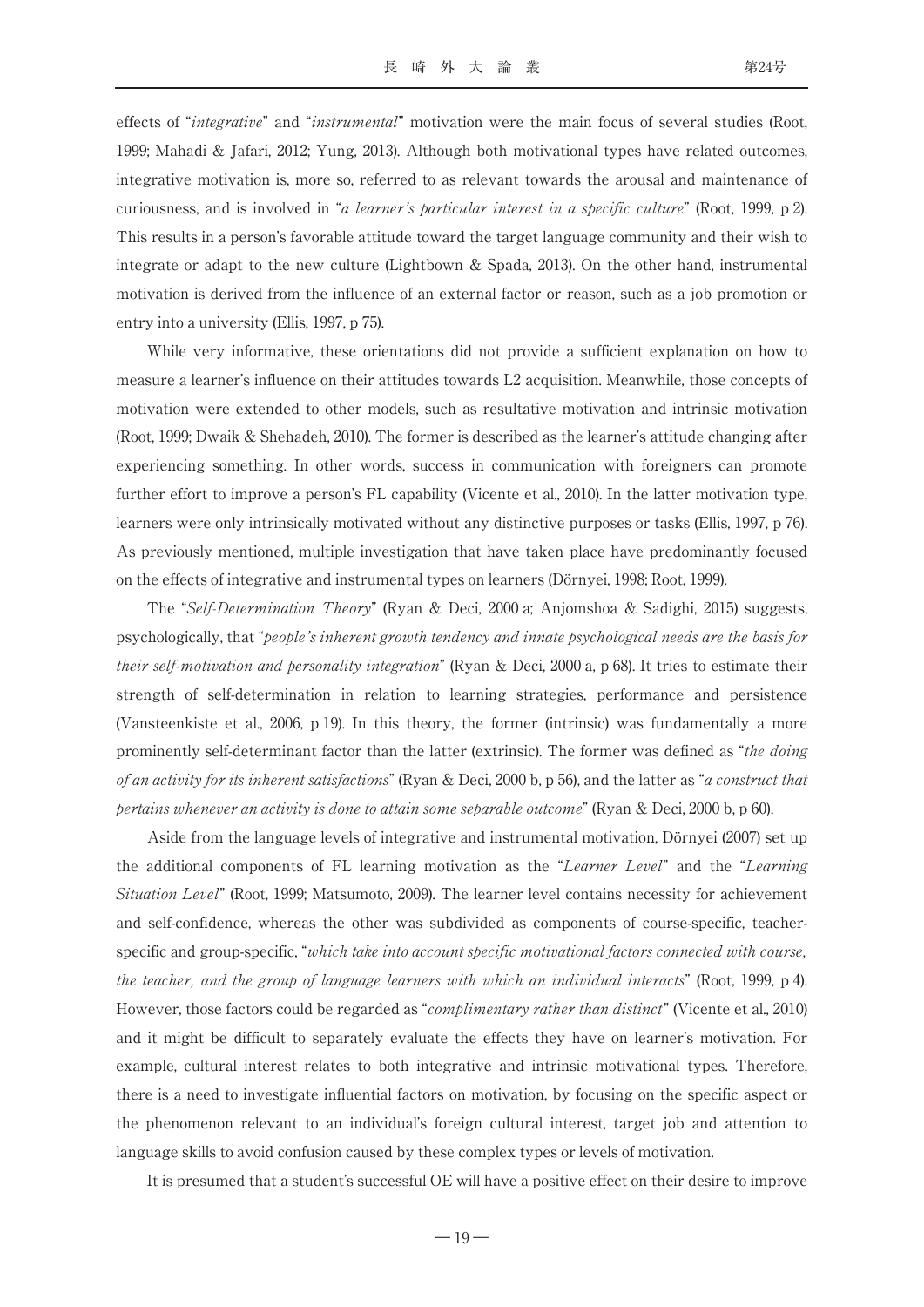effects of "integrative" and "instrumental" motivation were the main focus of several studies (Root, 1999; Mahadi & Jafari, 2012; Yung, 2013). Although both motivational types have related outcomes, integrative motivation is, more so, referred to as relevant towards the arousal and maintenance of curiousness, and is involved in "a learner's particular interest in a specific culture" (Root, 1999, p 2). This results in a person's favorable attitude toward the target language community and their wish to integrate or adapt to the new culture (Lightbown & Spada, 2013). On the other hand, instrumental motivation is derived from the influence of an external factor or reason, such as a job promotion or entry into a university (Ellis, 1997, p 75).

While very informative, these orientations did not provide a sufficient explanation on how to measure a learner's influence on their attitudes towards L2 acquisition. Meanwhile, those concepts of motivation were extended to other models, such as resultative motivation and intrinsic motivation (Root, 1999; Dwaik & Shehadeh, 2010). The former is described as the learner's attitude changing after experiencing something. In other words, success in communication with foreigners can promote further effort to improve a person's FL capability (Vicente et al., 2010). In the latter motivation type, learners were only intrinsically motivated without any distinctive purposes or tasks (Ellis, 1997, p 76). As previously mentioned, multiple investigation that have taken place have predominantly focused on the effects of integrative and instrumental types on learners (Dörnyei, 1998; Root, 1999).

The "Self-Determination Theory" (Ryan & Deci, 2000 a; Anjomshoa & Sadighi, 2015) suggests, psychologically, that "people's inherent growth tendency and innate psychological needs are the basis for their self-motivation and personality integration" (Ryan & Deci, 2000 a, p 68). It tries to estimate their strength of self-determination in relation to learning strategies, performance and persistence (Vansteenkiste et al., 2006, p 19). In this theory, the former (intrinsic) was fundamentally a more prominently self-determinant factor than the latter (extrinsic). The former was defined as "the doing of an activity for its inherent satisfactions" (Ryan & Deci, 2000 b, p 56), and the latter as "a construct that pertains whenever an activity is done to attain some separable outcome" (Ryan & Deci, 2000 b, p 60).

Aside from the language levels of integrative and instrumental motivation, Dörnyei (2007) set up the additional components of FL learning motivation as the "Learner Level" and the "Learning Situation Level" (Root, 1999; Matsumoto, 2009). The learner level contains necessity for achievement and self-confidence, whereas the other was subdivided as components of course-specific, teacherspecific and group-specific, "which take into account specific motivational factors connected with course, the teacher, and the group of language learners with which an individual interacts" (Root, 1999, p 4). However, those factors could be regarded as "complimentary rather than distinct" (Vicente et al., 2010) and it might be difficult to separately evaluate the effects they have on learner's motivation. For example, cultural interest relates to both integrative and intrinsic motivational types. Therefore, there is a need to investigate influential factors on motivation, by focusing on the specific aspect or the phenomenon relevant to an individual's foreign cultural interest, target job and attention to language skills to avoid confusion caused by these complex types or levels of motivation.

It is presumed that a student's successful OE will have a positive effect on their desire to improve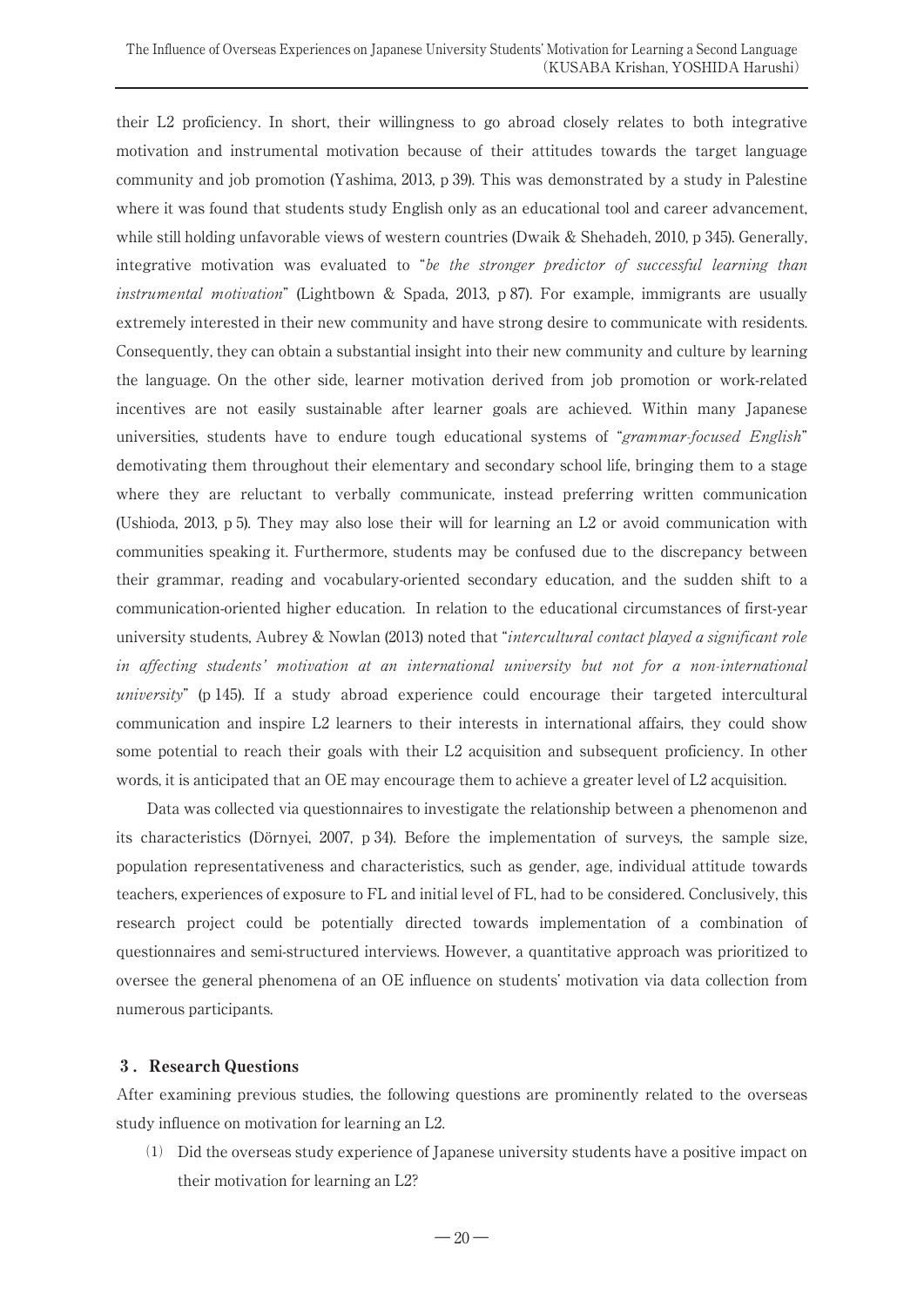their L2 proficiency. In short, their willingness to go abroad closely relates to both integrative motivation and instrumental motivation because of their attitudes towards the target language community and job promotion (Yashima, 2013, p 39). This was demonstrated by a study in Palestine where it was found that students study English only as an educational tool and career advancement, while still holding unfavorable views of western countries (Dwaik & Shehadeh, 2010, p 345). Generally, integrative motivation was evaluated to "be the stronger predictor of successful learning than instrumental motivation" (Lightbown & Spada, 2013, p 87). For example, immigrants are usually extremely interested in their new community and have strong desire to communicate with residents. Consequently, they can obtain a substantial insight into their new community and culture by learning the language. On the other side, learner motivation derived from job promotion or work-related incentives are not easily sustainable after learner goals are achieved. Within many Japanese universities, students have to endure tough educational systems of "*grammar-focused English*" demotivating them throughout their elementary and secondary school life, bringing them to a stage where they are reluctant to verbally communicate, instead preferring written communication (Ushioda, 2013, p 5). They may also lose their will for learning an L2 or avoid communication with communities speaking it. Furthermore, students may be confused due to the discrepancy between their grammar, reading and vocabulary-oriented secondary education, and the sudden shift to a communication-oriented higher education. In relation to the educational circumstances of first-year university students, Aubrey & Nowlan (2013) noted that "intercultural contact played a significant role in affecting students' motivation at an international university but not for a non-international university" (p 145). If a study abroad experience could encourage their targeted intercultural communication and inspire L2 learners to their interests in international affairs, they could show some potential to reach their goals with their L2 acquisition and subsequent proficiency. In other words, it is anticipated that an OE may encourage them to achieve a greater level of L2 acquisition.

Data was collected via questionnaires to investigate the relationship between a phenomenon and its characteristics (Dörnyei, 2007, p 34). Before the implementation of surveys, the sample size, population representativeness and characteristics, such as gender, age, individual attitude towards teachers, experiences of exposure to FL and initial level of FL, had to be considered. Conclusively, this research project could be potentially directed towards implementation of a combination of questionnaires and semi-structured interviews. However, a quantitative approach was prioritized to oversee the general phenomena of an OE influence on students' motivation via data collection from numerous participants.

# 3.Research Questions

After examining previous studies, the following questions are prominently related to the overseas study influence on motivation for learning an L2.

⑴ Did the overseas study experience of Japanese university students have a positive impact on their motivation for learning an L2?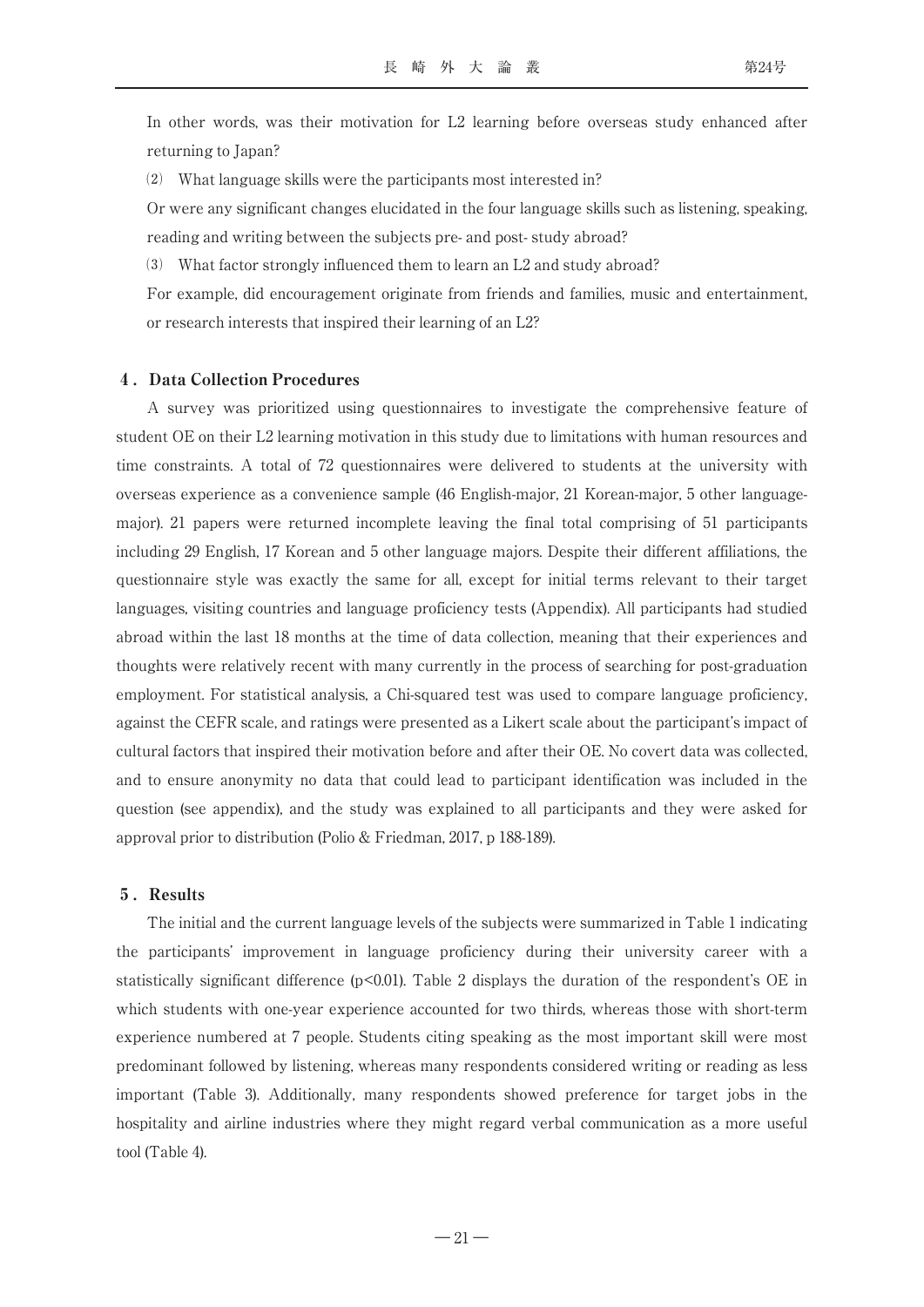In other words, was their motivation for L2 learning before overseas study enhanced after returning to Japan?

⑵ What language skills were the participants most interested in?

Or were any significant changes elucidated in the four language skills such as listening, speaking, reading and writing between the subjects pre- and post- study abroad?

⑶ What factor strongly influenced them to learn an L2 and study abroad?

For example, did encouragement originate from friends and families, music and entertainment, or research interests that inspired their learning of an L2?

#### 4.Data Collection Procedures

A survey was prioritized using questionnaires to investigate the comprehensive feature of student OE on their L2 learning motivation in this study due to limitations with human resources and time constraints. A total of 72 questionnaires were delivered to students at the university with overseas experience as a convenience sample (46 English-major, 21 Korean-major, 5 other languagemajor). 21 papers were returned incomplete leaving the final total comprising of 51 participants including 29 English, 17 Korean and 5 other language majors. Despite their different affiliations, the questionnaire style was exactly the same for all, except for initial terms relevant to their target languages, visiting countries and language proficiency tests (Appendix). All participants had studied abroad within the last 18 months at the time of data collection, meaning that their experiences and thoughts were relatively recent with many currently in the process of searching for post-graduation employment. For statistical analysis, a Chi-squared test was used to compare language proficiency, against the CEFR scale, and ratings were presented as a Likert scale about the participant's impact of cultural factors that inspired their motivation before and after their OE. No covert data was collected, and to ensure anonymity no data that could lead to participant identification was included in the question (see appendix), and the study was explained to all participants and they were asked for approval prior to distribution (Polio & Friedman, 2017, p 188-189).

#### 5.Results

The initial and the current language levels of the subjects were summarized in Table 1 indicating the participants' improvement in language proficiency during their university career with a statistically significant difference ( $p$ <0.01). Table 2 displays the duration of the respondent's OE in which students with one-year experience accounted for two thirds, whereas those with short-term experience numbered at 7 people. Students citing speaking as the most important skill were most predominant followed by listening, whereas many respondents considered writing or reading as less important (Table 3). Additionally, many respondents showed preference for target jobs in the hospitality and airline industries where they might regard verbal communication as a more useful tool (Table 4).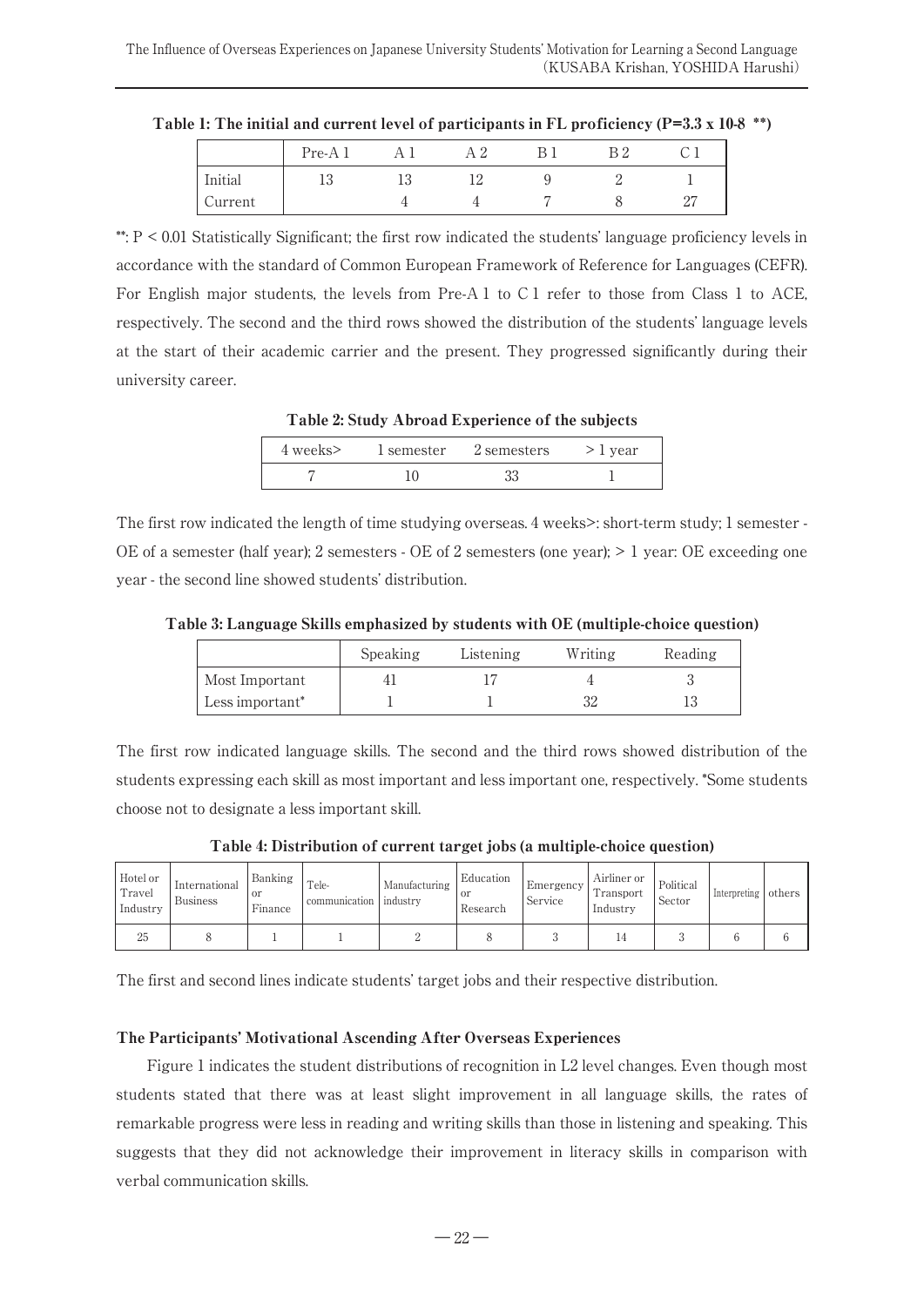|         | Pre-A 1          |    | R | R <sub>0</sub> | ⌒<br>$\sim$ $\sim$ |
|---------|------------------|----|---|----------------|--------------------|
| Initial | $\sqrt{2}$<br>⊥∪ | ŦΩ |   |                |                    |
| Current |                  |    |   |                | $\Omega$<br>41     |

Table 1: The initial and current level of participants in FL proficiency  $(P=3.3 \times 10^{-8}$  \*\*)

\*\*: P < 0.01 Statistically Significant; the first row indicated the students' language proficiency levels in accordance with the standard of Common European Framework of Reference for Languages (CEFR). For English major students, the levels from Pre-A 1 to C 1 refer to those from Class 1 to ACE, respectively. The second and the third rows showed the distribution of the students' language levels at the start of their academic carrier and the present. They progressed significantly during their university career.

Table 2: Study Abroad Experience of the subjects

| 4 weeks> | 1 semester | 2 semesters | > 1 year |
|----------|------------|-------------|----------|
|          |            |             |          |

The first row indicated the length of time studying overseas. 4 weeks>: short-term study; 1 semester - OE of a semester (half year); 2 semesters - OE of 2 semesters (one year); > 1 year: OE exceeding one year - the second line showed students' distribution.

Table 3: Language Skills emphasized by students with OE (multiple-choice question)

|                 | Speaking | Listening | Writing | Reading |
|-----------------|----------|-----------|---------|---------|
| Most Important  |          |           |         |         |
| Less important* |          |           | ے د     | ⊥∪      |

The first row indicated language skills. The second and the third rows showed distribution of the students expressing each skill as most important and less important one, respectively. \*Some students choose not to designate a less important skill.

Table 4: Distribution of current target jobs (a multiple-choice question)

| Hotel or<br>Travel<br>Industry | International<br><b>Business</b> | Banking<br>or<br>Finance | Tele-<br>communication | Manufacturing<br>industry | Education<br>or<br>Research | Emergency<br>Service | Airliner or<br>Transport<br>Industry | Political<br>Sector | Interpreting | others |
|--------------------------------|----------------------------------|--------------------------|------------------------|---------------------------|-----------------------------|----------------------|--------------------------------------|---------------------|--------------|--------|
| 25                             |                                  |                          |                        |                           |                             |                      | 14                                   |                     |              |        |

The first and second lines indicate students' target jobs and their respective distribution.

# The Participants' Motivational Ascending After Overseas Experiences

Figure 1 indicates the student distributions of recognition in L2 level changes. Even though most students stated that there was at least slight improvement in all language skills, the rates of remarkable progress were less in reading and writing skills than those in listening and speaking. This suggests that they did not acknowledge their improvement in literacy skills in comparison with verbal communication skills.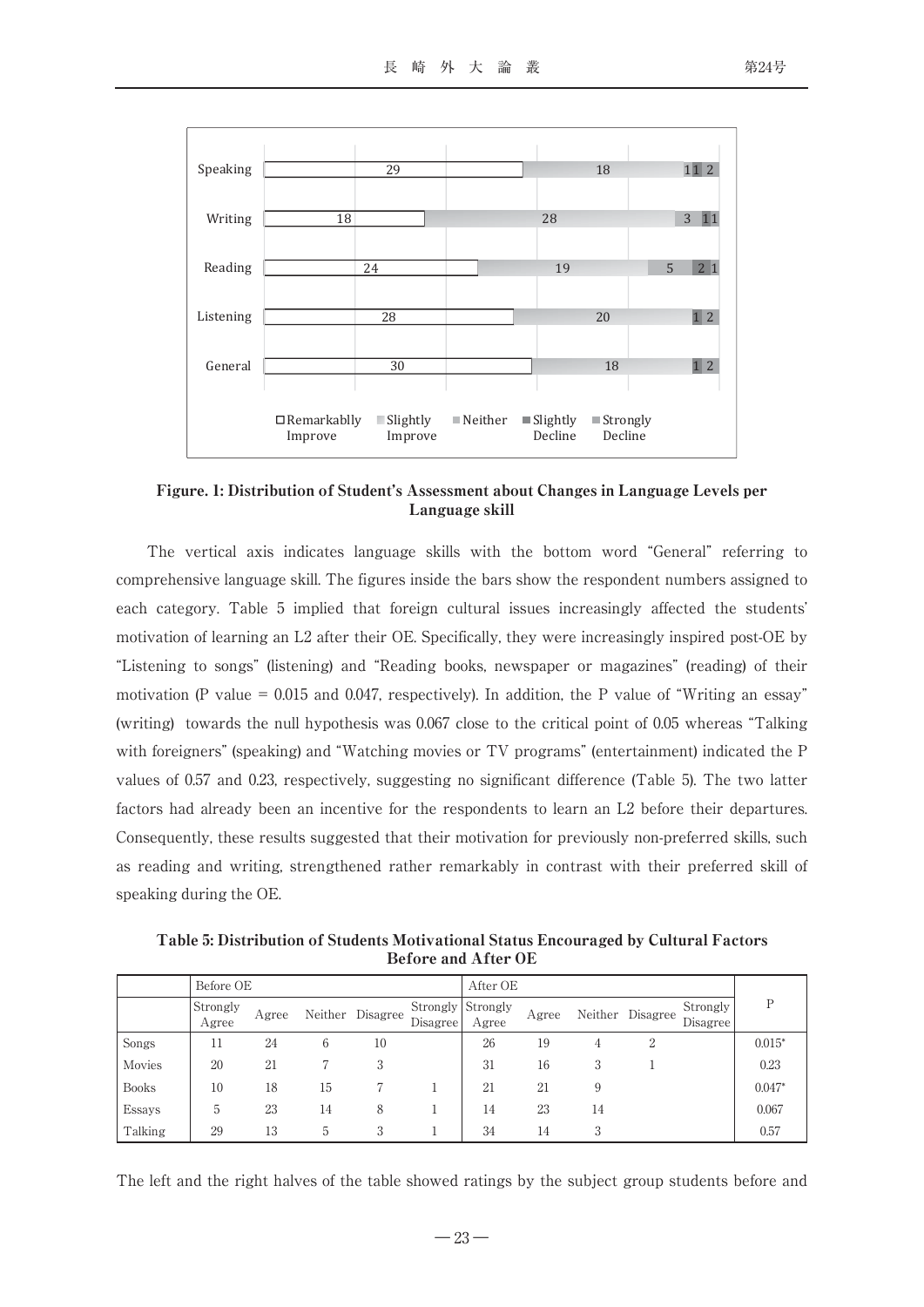

Figure. 1: Distribution of Student's Assessment about Changes in Language Levels per Language skill

The vertical axis indicates language skills with the bottom word "General" referring to comprehensive language skill. The figures inside the bars show the respondent numbers assigned to each category. Table 5 implied that foreign cultural issues increasingly affected the students' motivation of learning an L2 after their OE. Specifically, they were increasingly inspired post-OE by "Listening to songs" (listening) and "Reading books, newspaper or magazines" (reading) of their motivation (P value = 0.015 and 0.047, respectively). In addition, the P value of "Writing an essay" (writing) towards the null hypothesis was 0.067 close to the critical point of 0.05 whereas "Talking with foreigners" (speaking) and "Watching movies or TV programs" (entertainment) indicated the P values of 0.57 and 0.23, respectively, suggesting no significant difference (Table 5). The two latter factors had already been an incentive for the respondents to learn an L2 before their departures. Consequently, these results suggested that their motivation for previously non-preferred skills, such as reading and writing, strengthened rather remarkably in contrast with their preferred skill of speaking during the OE.

Table 5: Distribution of Students Motivational Status Encouraged by Cultural Factors Before and After OE

|              | Before OE         |       |    |                  |          | After OE                   |       |    |                  |                      |          |
|--------------|-------------------|-------|----|------------------|----------|----------------------------|-------|----|------------------|----------------------|----------|
|              | Strongly<br>Agree | Agree |    | Neither Disagree | Disagree | Strongly Strongly<br>Agree | Agree |    | Neither Disagree | Strongly<br>Disagree | P        |
| Songs        | 11                | 24    | 6  | 10               |          | 26                         | 19    | 4  | $\overline{2}$   |                      | $0.015*$ |
| Movies       | 20                | 21    |    | 3                |          | 31                         | 16    | 3  |                  |                      | 0.23     |
| <b>Books</b> | 10                | 18    | 15 |                  |          | 21                         | 21    | 9  |                  |                      | $0.047*$ |
| Essays       | 5                 | 23    | 14 | 8                |          | 14                         | 23    | 14 |                  |                      | 0.067    |
| Talking      | 29                | 13    | 5  | 3                |          | 34                         | 14    | 3  |                  |                      | 0.57     |

The left and the right halves of the table showed ratings by the subject group students before and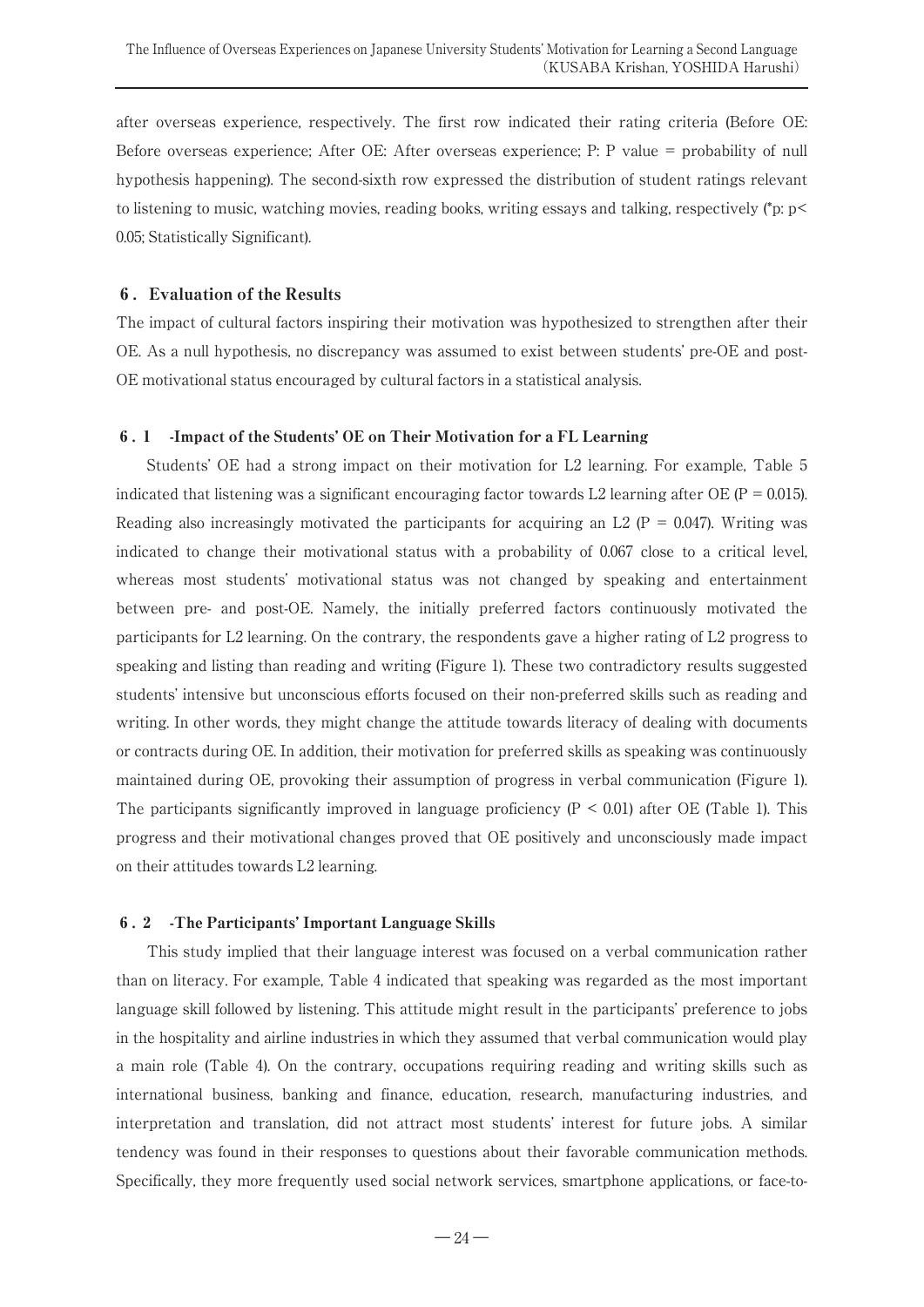after overseas experience, respectively. The first row indicated their rating criteria (Before OE: Before overseas experience; After OE: After overseas experience; P: P value = probability of null hypothesis happening). The second-sixth row expressed the distribution of student ratings relevant to listening to music, watching movies, reading books, writing essays and talking, respectively (\*p: p< 0.05; Statistically Significant).

# 6.Evaluation of the Results

The impact of cultural factors inspiring their motivation was hypothesized to strengthen after their OE. As a null hypothesis, no discrepancy was assumed to exist between students' pre-OE and post-OE motivational status encouraged by cultural factors in a statistical analysis.

# 6.1 -Impact of the Students' OE on Their Motivation for a FL Learning

Students' OE had a strong impact on their motivation for L2 learning. For example, Table 5 indicated that listening was a significant encouraging factor towards L2 learning after OE ( $P = 0.015$ ). Reading also increasingly motivated the participants for acquiring an L2 ( $P = 0.047$ ). Writing was indicated to change their motivational status with a probability of 0.067 close to a critical level, whereas most students' motivational status was not changed by speaking and entertainment between pre- and post-OE. Namely, the initially preferred factors continuously motivated the participants for L2 learning. On the contrary, the respondents gave a higher rating of L2 progress to speaking and listing than reading and writing (Figure 1). These two contradictory results suggested students' intensive but unconscious efforts focused on their non-preferred skills such as reading and writing. In other words, they might change the attitude towards literacy of dealing with documents or contracts during OE. In addition, their motivation for preferred skills as speaking was continuously maintained during OE, provoking their assumption of progress in verbal communication (Figure 1). The participants significantly improved in language proficiency  $(P < 0.01)$  after OE (Table 1). This progress and their motivational changes proved that OE positively and unconsciously made impact on their attitudes towards L2 learning.

# 6.2 -The Participants' Important Language Skills

This study implied that their language interest was focused on a verbal communication rather than on literacy. For example, Table 4 indicated that speaking was regarded as the most important language skill followed by listening. This attitude might result in the participants' preference to jobs in the hospitality and airline industries in which they assumed that verbal communication would play a main role (Table 4). On the contrary, occupations requiring reading and writing skills such as international business, banking and finance, education, research, manufacturing industries, and interpretation and translation, did not attract most students' interest for future jobs. A similar tendency was found in their responses to questions about their favorable communication methods. Specifically, they more frequently used social network services, smartphone applications, or face-to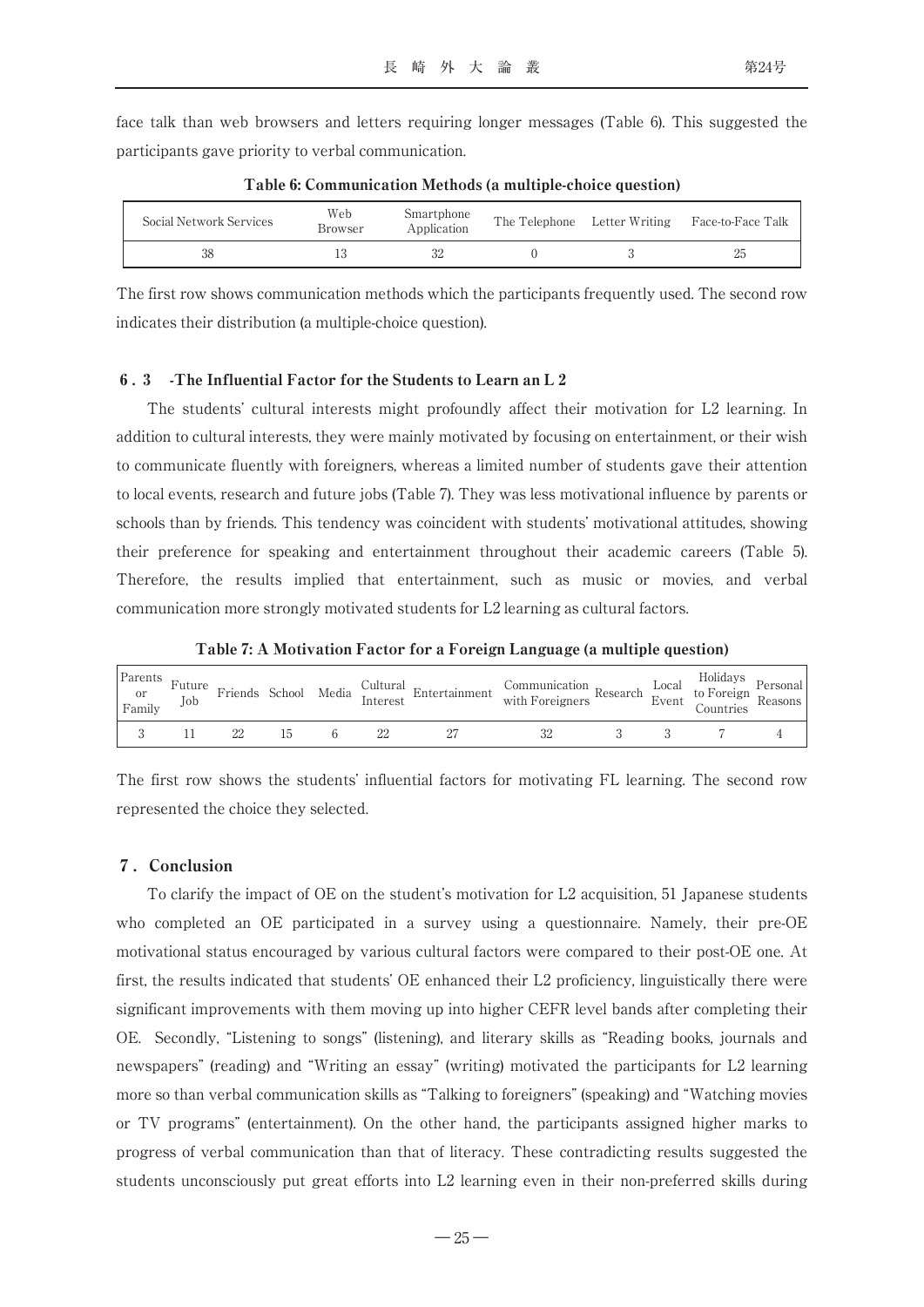face talk than web browsers and letters requiring longer messages (Table 6). This suggested the participants gave priority to verbal communication.

| Social Network Services | Web<br>Browser | Smartphone<br>Application | The Telephone Letter Writing | Face-to-Face Talk |  |
|-------------------------|----------------|---------------------------|------------------------------|-------------------|--|
| 38                      |                |                           |                              | 25                |  |

Table 6: Communication Methods (a multiple-choice question)

The first row shows communication methods which the participants frequently used. The second row indicates their distribution (a multiple-choice question).

#### 6.3 -The Influential Factor for the Students to Learn an L2

The students' cultural interests might profoundly affect their motivation for L2 learning. In addition to cultural interests, they were mainly motivated by focusing on entertainment, or their wish to communicate fluently with foreigners, whereas a limited number of students gave their attention to local events, research and future jobs (Table 7). They was less motivational influence by parents or schools than by friends. This tendency was coincident with students' motivational attitudes, showing their preference for speaking and entertainment throughout their academic careers (Table 5). Therefore, the results implied that entertainment, such as music or movies, and verbal communication more strongly motivated students for L2 learning as cultural factors.

Table 7: A Motivation Factor for a Foreign Language (a multiple question)

| Parents<br>or<br>Family | Future<br><b>Tob</b> | Friends | School Media $\frac{C}{L}$ | Interest | <b>Cultural</b> Entertainment | Communication<br>with Foreigners | Research | Local<br>Event | Holidays<br>to Foreign<br>Countries | Personal<br>Reasons |
|-------------------------|----------------------|---------|----------------------------|----------|-------------------------------|----------------------------------|----------|----------------|-------------------------------------|---------------------|
|                         |                      |         |                            |          |                               |                                  |          |                |                                     |                     |

The first row shows the students' influential factors for motivating FL learning. The second row represented the choice they selected.

#### 7.Conclusion

To clarify the impact of OE on the student's motivation for L2 acquisition, 51 Japanese students who completed an OE participated in a survey using a questionnaire. Namely, their pre-OE motivational status encouraged by various cultural factors were compared to their post-OE one. At first, the results indicated that students' OE enhanced their L2 proficiency, linguistically there were significant improvements with them moving up into higher CEFR level bands after completing their OE. Secondly, "Listening to songs" (listening), and literary skills as "Reading books, journals and newspapers" (reading) and "Writing an essay" (writing) motivated the participants for L2 learning more so than verbal communication skills as "Talking to foreigners" (speaking) and "Watching movies or TV programs" (entertainment). On the other hand, the participants assigned higher marks to progress of verbal communication than that of literacy. These contradicting results suggested the students unconsciously put great efforts into L2 learning even in their non-preferred skills during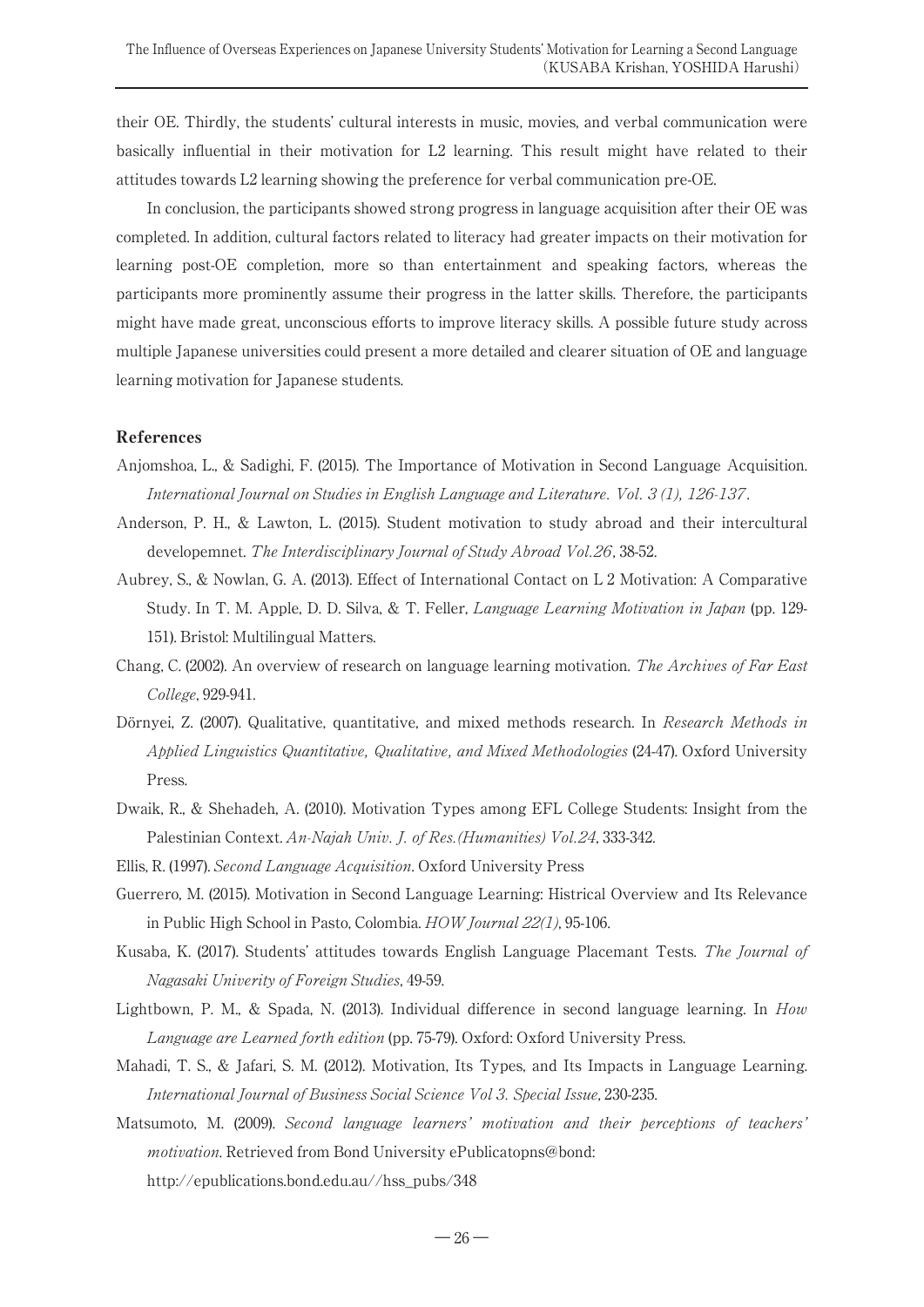their OE. Thirdly, the students' cultural interests in music, movies, and verbal communication were basically influential in their motivation for L2 learning. This result might have related to their attitudes towards L2 learning showing the preference for verbal communication pre-OE.

In conclusion, the participants showed strong progress in language acquisition after their OE was completed. In addition, cultural factors related to literacy had greater impacts on their motivation for learning post-OE completion, more so than entertainment and speaking factors, whereas the participants more prominently assume their progress in the latter skills. Therefore, the participants might have made great, unconscious efforts to improve literacy skills. A possible future study across multiple Japanese universities could present a more detailed and clearer situation of OE and language learning motivation for Japanese students.

#### References

- Anjomshoa, L., & Sadighi, F. (2015). The Importance of Motivation in Second Language Acquisition. International Journal on Studies in English Language and Literature. Vol. 3 (1), 126-137.
- Anderson, P. H., & Lawton, L. (2015). Student motivation to study abroad and their intercultural developemnet. The Interdisciplinary Journal of Study Abroad Vol.26, 38-52.
- Aubrey, S., & Nowlan, G. A. (2013). Effect of International Contact on L 2 Motivation: A Comparative Study. In T. M. Apple, D. D. Silva, & T. Feller, *Language Learning Motivation in Japan* (pp. 129-151). Bristol: Multilingual Matters.
- Chang, C. (2002). An overview of research on language learning motivation. The Archives of Far East College, 929-941.
- Dörnyei, Z. (2007). Qualitative, quantitative, and mixed methods research. In Research Methods in Applied Linguistics Quantitative, Qualitative, and Mixed Methodologies (24-47). Oxford University Press.
- Dwaik, R., & Shehadeh, A. (2010). Motivation Types among EFL College Students: Insight from the Palestinian Context. An-Najah Univ. J. of Res.(Humanities) Vol.24, 333-342.
- Ellis, R. (1997). Second Language Acquisition. Oxford University Press
- Guerrero, M. (2015). Motivation in Second Language Learning: Histrical Overview and Its Relevance in Public High School in Pasto, Colombia. HOW Journal 22(1), 95-106.
- Kusaba, K. (2017). Students' attitudes towards English Language Placemant Tests. The Journal of Nagasaki Univerity of Foreign Studies, 49-59.
- Lightbown, P. M., & Spada, N. (2013). Individual difference in second language learning. In How Language are Learned forth edition (pp. 75-79). Oxford: Oxford University Press.
- Mahadi, T. S., & Jafari, S. M. (2012). Motivation, Its Types, and Its Impacts in Language Learning. International Journal of Business Social Science Vol 3. Special Issue, 230-235.
- Matsumoto, M. (2009). Second language learners' motivation and their perceptions of teachers' motivation. Retrieved from Bond University ePublicatopns@bond:

http://epublications.bond.edu.au//hss\_pubs/348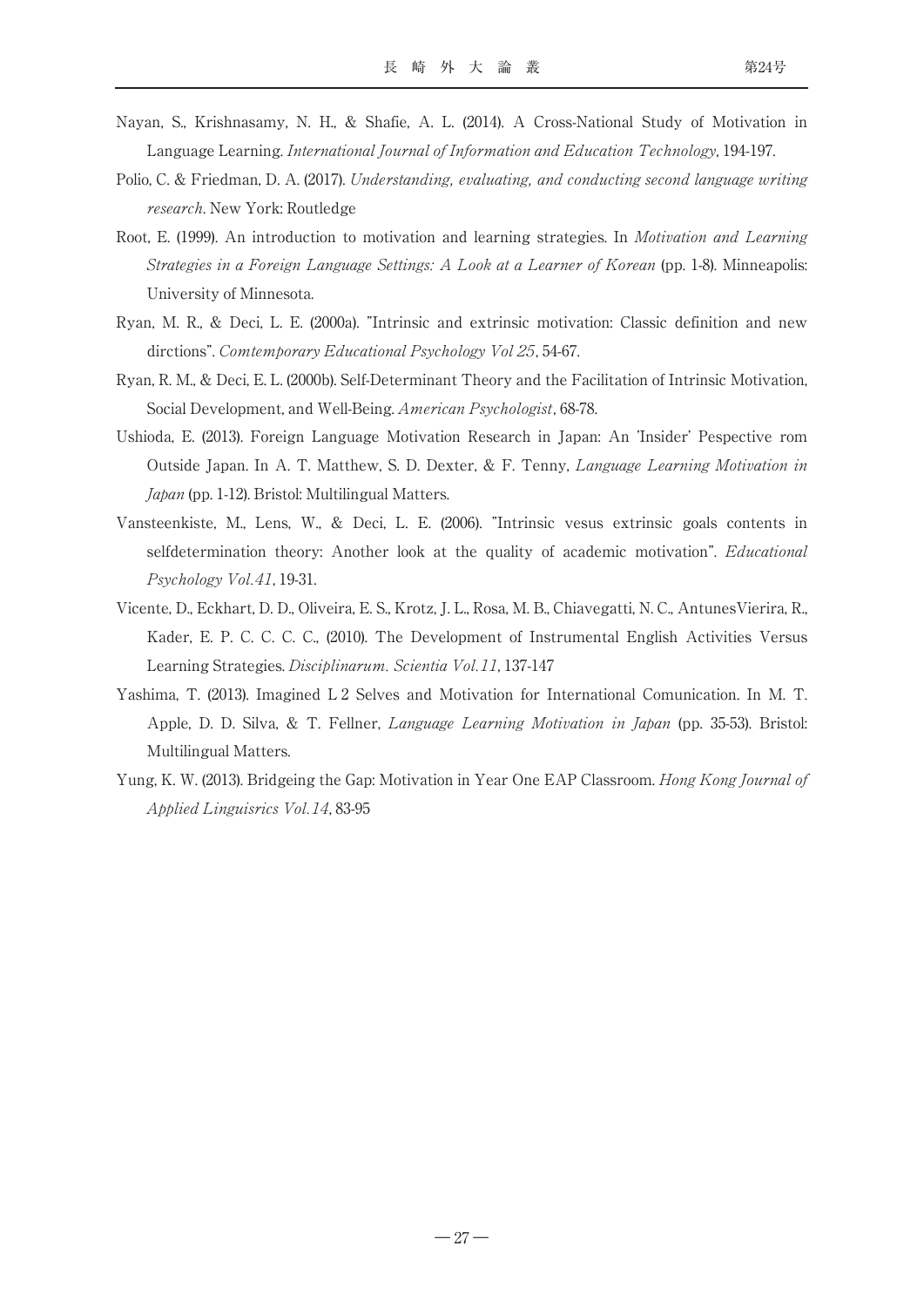- Nayan, S., Krishnasamy, N. H., & Shafie, A. L. (2014). A Cross-National Study of Motivation in Language Learning. International Journal of Information and Education Technology, 194-197.
- Polio, C. & Friedman, D. A. (2017). Understanding, evaluating, and conducting second language writing research. New York: Routledge
- Root, E. (1999). An introduction to motivation and learning strategies. In Motivation and Learning Strategies in a Foreign Language Settings: A Look at a Learner of Korean (pp. 1-8). Minneapolis: University of Minnesota.
- Ryan, M. R., & Deci, L. E. (2000a). "Intrinsic and extrinsic motivation: Classic definition and new dirctions". Comtemporary Educational Psychology Vol 25, 54-67.
- Ryan, R. M., & Deci, E. L. (2000b). Self-Determinant Theory and the Facilitation of Intrinsic Motivation, Social Development, and Well-Being. American Psychologist, 68-78.
- Ushioda, E. (2013). Foreign Language Motivation Research in Japan: An 'Insider' Pespective rom Outside Japan. In A. T. Matthew, S. D. Dexter, & F. Tenny, Language Learning Motivation in Japan (pp. 1-12). Bristol: Multilingual Matters.
- Vansteenkiste, M., Lens, W., & Deci, L. E. (2006). "Intrinsic vesus extrinsic goals contents in selfdetermination theory: Another look at the quality of academic motivation". *Educational* Psychology Vol.41, 19-31.
- Vicente, D., Eckhart, D. D., Oliveira, E. S., Krotz, J. L., Rosa, M. B., Chiavegatti, N. C., AntunesVierira, R., Kader, E. P. C. C. C. C., (2010). The Development of Instrumental English Activities Versus Learning Strategies. Disciplinarum. Scientia Vol.11, 137-147
- Yashima, T. (2013). Imagined L 2 Selves and Motivation for International Comunication. In M. T. Apple, D. D. Silva, & T. Fellner, Language Learning Motivation in Japan (pp. 35-53). Bristol: Multilingual Matters.
- Yung, K. W. (2013). Bridgeing the Gap: Motivation in Year One EAP Classroom. Hong Kong Journal of Applied Linguisrics Vol.14, 83-95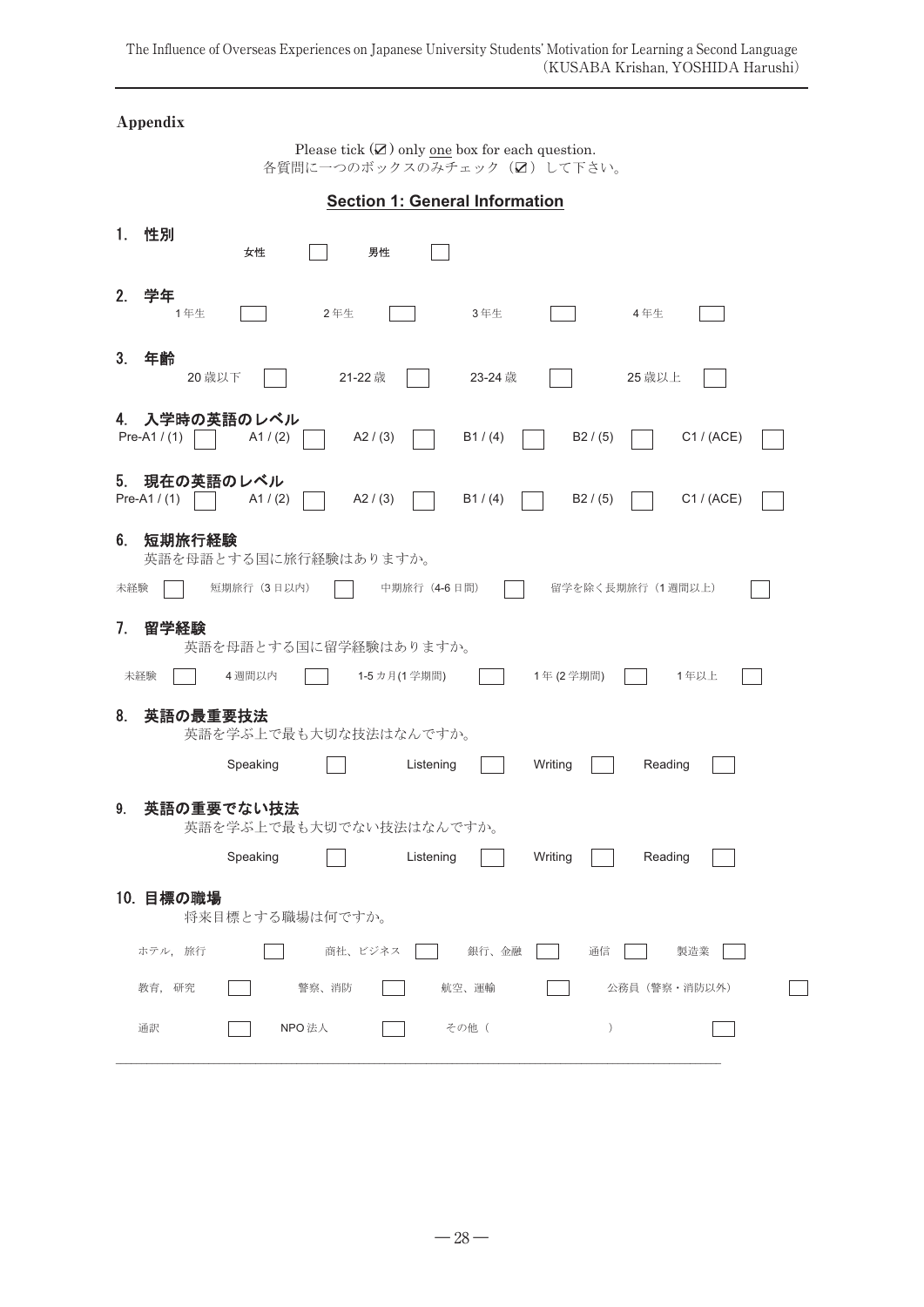Appendix

Please tick  $(\boxtimes)$  only <u>one</u> box for each question. 各質問に一つのボックスのみチェック (2) して下さい。

|         | <b>Section 1: General Information</b>                                                      |
|---------|--------------------------------------------------------------------------------------------|
| 1.      | 性別<br>男性<br>女性                                                                             |
| $2_{-}$ | 学年<br>1年生<br>2年生<br>3年生<br>4年生                                                             |
| 3.      | 年齢<br>20 歳以下<br>21-22 歳<br>23-24 歳<br>25 歳以上                                               |
| 4.      | 入学時の英語のレベル<br>Pre-A1 $/$ (1)<br>A1 / (2)<br>A2 / (3)<br>B1 / (4)<br>B2 / (5)<br>C1 / (ACE) |
| 5.      | 現在の英語のレベル<br>Pre-A1 $/$ (1)<br>C1 / (ACE)<br>A1 / (2)<br>A2 / (3)<br>B1 / (4)<br>B2 / (5)  |
| 6.      | 短期旅行経験<br>英語を母語とする国に旅行経験はありますか。                                                            |
| 未経験     | 短期旅行 (3日以内)<br>留学を除く長期旅行 (1週間以上)<br>中期旅行(4-6日間)                                            |
| 7.      | 留学経験<br>英語を母語とする国に留学経験はありますか。                                                              |
|         | 4週間以内<br>1-5 力月(1学期間)<br>1年以上<br>未経験<br>1年 (2学期間)                                          |
| 8.      | 英語の最重要技法<br>英語を学ぶ上で最も大切な技法はなんですか。                                                          |
|         | Speaking<br>Listening<br>Writing<br>Reading                                                |
| 9.      | 英語の重要でない技法<br>英語を学ぶ上で最も大切でない技法はなんですか。                                                      |
|         | Speaking<br>Listening<br>Writing<br>Reading                                                |
|         | 10. 目標の職場<br>将来目標とする職場は何ですか。                                                               |
|         | ホテル、旅行<br>商社、ビジネス<br>銀行、金融<br>通信<br>製造業                                                    |
|         | 警察、消防<br>公務員 (警察·消防以外)<br>教育, 研究<br>航空、運輸                                                  |
|         | NPO 法人<br>その他 (<br>)<br>通訳                                                                 |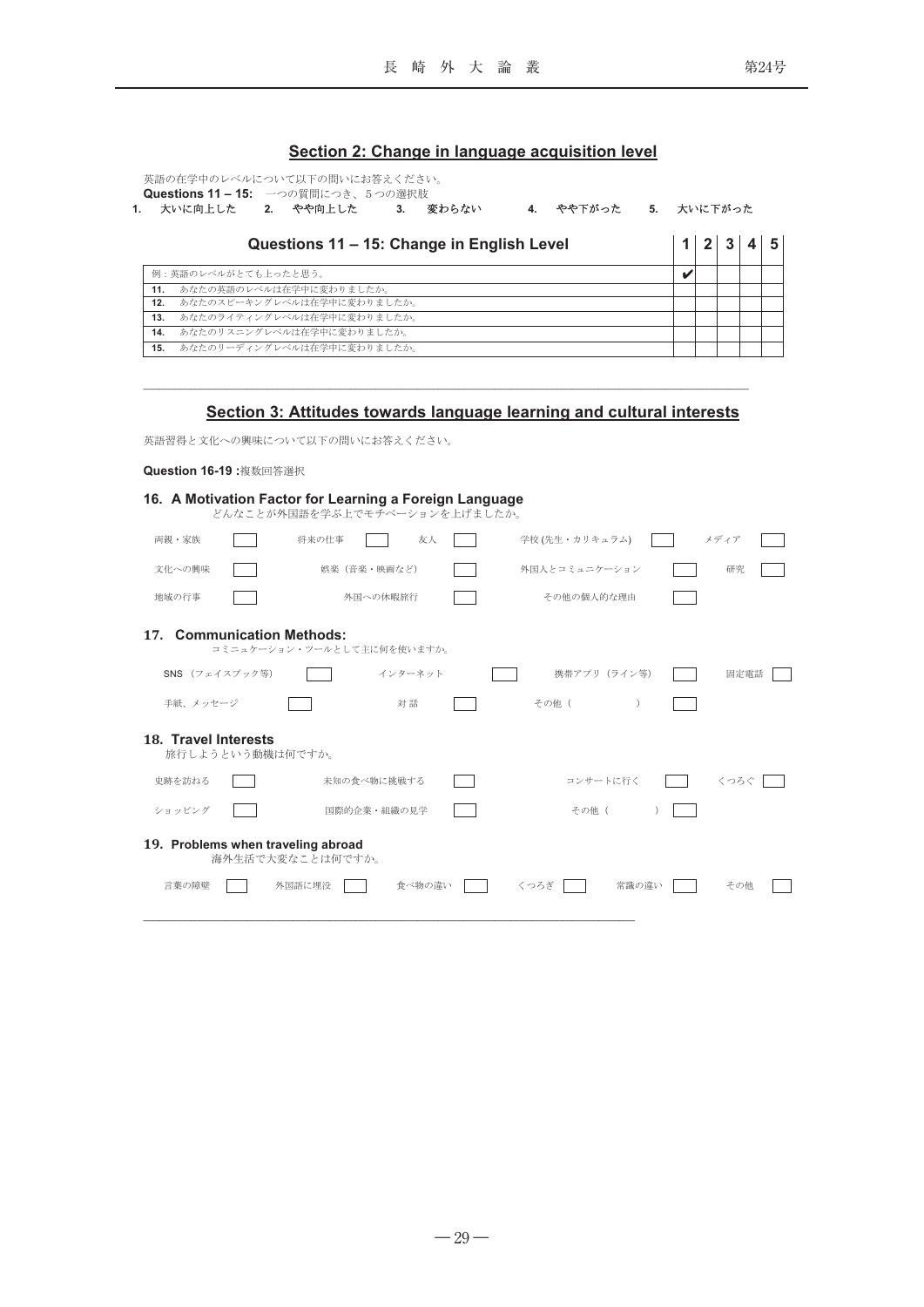#### **Section 2: Change in language acquisition level**

| 1.  |                     | 英語の在学中のレベルについて以下の問いにお答えください。<br>Questions 11 - 15: 一つの質問につき、5つの選択肢<br>大いに向上した 2. やや向上した 3. | 変わらない | 4. | やや下がった | 5. 大いに下がった |   |  |  |
|-----|---------------------|--------------------------------------------------------------------------------------------|-------|----|--------|------------|---|--|--|
|     |                     | Questions 11 - 15: Change in English Level                                                 |       |    |        |            |   |  |  |
|     | 例:英語のレベルがとても上ったと思う。 |                                                                                            |       |    |        |            | V |  |  |
| 11. |                     | あなたの英語のレベルは在学中に変わりましたか。                                                                    |       |    |        |            |   |  |  |
| 12. |                     | あなたのスピーキングレベルは在学中に変わりましたか。                                                                 |       |    |        |            |   |  |  |
| 13. |                     | あなたのライティングレベルは在学中に変わりましたか。                                                                 |       |    |        |            |   |  |  |
| 14. |                     | あなたのリスニングレベルは在学中に変わりましたか。                                                                  |       |    |        |            |   |  |  |
| 15. |                     | あなたのリーディングレベルは在学中に変わりましたか。                                                                 |       |    |        |            |   |  |  |

#### **Section 3: Attitudes towards language learning and cultural interests**

 $\_$  , and the state of the state of the state of the state of the state of the state of the state of the state of the state of the state of the state of the state of the state of the state of the state of the state of the

英語習得と文化への興味について以下の問いにお答えください。

#### **Question 16-19 :**複数回答選択

|                                          | 16. A Motivation Factor for Learning a Foreign Language<br>どんなことが外国語を学ぶ上でモチベーションを上げましたか。 |               |              |      |
|------------------------------------------|------------------------------------------------------------------------------------------|---------------|--------------|------|
| 両親・家族                                    | 将来の仕事<br>友人                                                                              | 学校(先生・カリキュラム) |              | メディア |
| 文化への興味                                   | 娯楽 (音楽・映画など)                                                                             | 外国人とコミュニケーション |              | 研究   |
| 地域の行事                                    | 外国への休暇旅行                                                                                 | その他の個人的な理由    |              |      |
| 17. Communication Methods:               | コミニュケーション・ツールとして主に何を使いますか。                                                               |               |              |      |
| SNS (フェイスブック等)                           | インターネット                                                                                  |               | 携帯アプリ (ライン等) | 固定電話 |
| 手紙、メッセージ                                 | 対話                                                                                       | その他(          |              |      |
| 18. Travel Interests<br>旅行しようという動機は何ですか。 |                                                                                          |               |              |      |
| 史跡を訪ねる                                   | 未知の食べ物に挑戦する                                                                              |               | コンサートに行く     | くつろぐ |
| ショッピング                                   | 国際的企業・組織の見学                                                                              | その他(          |              |      |
| 19. Problems when traveling abroad       | 海外生活で大変なことは何ですか。                                                                         |               |              |      |
| 言葉の障壁                                    | 外国語に埋没<br>食べ物の違い                                                                         | くつろぎ          | 常識の違い        | その他  |